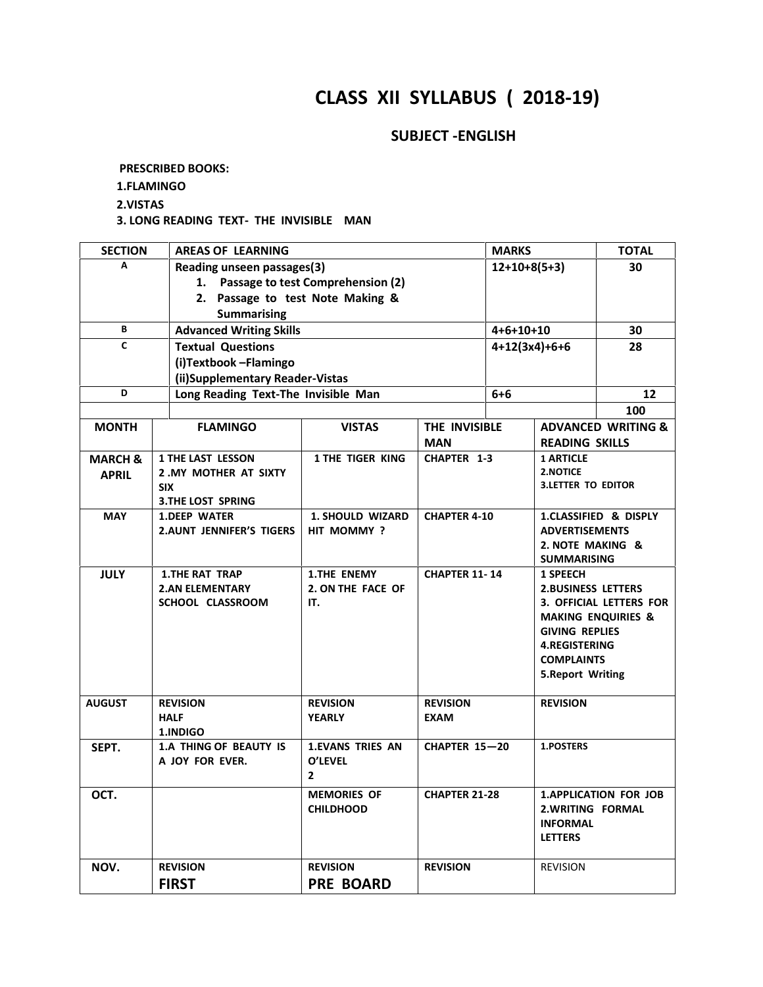# **CLASS XII SYLLABUS ( 2018-19)**

### **SUBJECT -ENGLISH**

**PRESCRIBED BOOKS:**

**1.FLAMINGO**

**2.VISTAS**

**3. LONG READING TEXT- THE INVISIBLE MAN**

| <b>SECTION</b>     | <b>AREAS OF LEARNING</b>                        |                                      |                      | <b>MARKS</b>   |                           | <b>TOTAL</b>                   |
|--------------------|-------------------------------------------------|--------------------------------------|----------------------|----------------|---------------------------|--------------------------------|
| А                  | Reading unseen passages(3)                      |                                      |                      | $12+10+8(5+3)$ | 30                        |                                |
|                    |                                                 | 1. Passage to test Comprehension (2) |                      |                |                           |                                |
|                    | 2. Passage to test Note Making &                |                                      |                      |                |                           |                                |
|                    | <b>Summarising</b>                              |                                      |                      |                |                           |                                |
| В                  | <b>Advanced Writing Skills</b>                  |                                      |                      | $4+6+10+10$    |                           | 30                             |
| C                  | <b>Textual Questions</b>                        |                                      |                      |                | $4+12(3x4)+6+6$           | 28                             |
|                    | (i)Textbook-Flamingo                            |                                      |                      |                |                           |                                |
|                    | (ii)Supplementary Reader-Vistas                 |                                      |                      |                |                           |                                |
| D                  | Long Reading Text-The Invisible Man             |                                      |                      | $6 + 6$        |                           | 12                             |
|                    |                                                 |                                      |                      |                |                           | 100                            |
| <b>MONTH</b>       | <b>FLAMINGO</b>                                 | <b>VISTAS</b>                        | THE INVISIBLE        |                |                           | <b>ADVANCED WRITING &amp;</b>  |
|                    |                                                 |                                      | <b>MAN</b>           |                | <b>READING SKILLS</b>     |                                |
| <b>MARCH &amp;</b> | <b>1 THE LAST LESSON</b>                        | 1 THE TIGER KING                     | <b>CHAPTER 1-3</b>   |                | <b>1 ARTICLE</b>          |                                |
| <b>APRIL</b>       | 2. MY MOTHER AT SIXTY                           |                                      |                      |                | <b>2.NOTICE</b>           |                                |
|                    | <b>SIX</b>                                      |                                      |                      |                | <b>3.LETTER TO EDITOR</b> |                                |
| <b>MAY</b>         | <b>3.THE LOST SPRING</b><br><b>1.DEEP WATER</b> | <b>1. SHOULD WIZARD</b>              | <b>CHAPTER 4-10</b>  |                |                           | 1.CLASSIFIED & DISPLY          |
|                    | <b>2.AUNT JENNIFER'S TIGERS</b>                 | HIT MOMMY?                           |                      |                | <b>ADVERTISEMENTS</b>     |                                |
|                    |                                                 |                                      |                      |                | 2. NOTE MAKING &          |                                |
|                    |                                                 |                                      |                      |                | <b>SUMMARISING</b>        |                                |
| <b>JULY</b>        | <b>1.THE RAT TRAP</b>                           | <b>1.THE ENEMY</b>                   | <b>CHAPTER 11-14</b> |                | <b>1 SPEECH</b>           |                                |
|                    | <b>2.AN ELEMENTARY</b>                          | 2. ON THE FACE OF                    |                      |                | <b>2.BUSINESS LETTERS</b> |                                |
|                    | SCHOOL CLASSROOM                                | IT.                                  |                      |                |                           | <b>3. OFFICIAL LETTERS FOR</b> |
|                    |                                                 |                                      |                      |                |                           | <b>MAKING ENQUIRIES &amp;</b>  |
|                    |                                                 |                                      |                      |                | <b>GIVING REPLIES</b>     |                                |
|                    |                                                 |                                      |                      |                | <b>4.REGISTERING</b>      |                                |
|                    |                                                 |                                      |                      |                | <b>COMPLAINTS</b>         |                                |
|                    |                                                 |                                      |                      |                | <b>5.Report Writing</b>   |                                |
| <b>AUGUST</b>      | <b>REVISION</b>                                 | <b>REVISION</b>                      | <b>REVISION</b>      |                | <b>REVISION</b>           |                                |
|                    | <b>HALF</b>                                     | <b>YEARLY</b>                        | <b>EXAM</b>          |                |                           |                                |
|                    | 1.INDIGO                                        |                                      |                      |                |                           |                                |
| SEPT.              | <b>1.A THING OF BEAUTY IS</b>                   | <b>1.EVANS TRIES AN</b>              | <b>CHAPTER 15-20</b> |                | 1.POSTERS                 |                                |
|                    | A JOY FOR EVER.                                 | O'LEVEL                              |                      |                |                           |                                |
|                    |                                                 | $\mathbf{2}$                         |                      |                |                           |                                |
| OCT.               |                                                 | <b>MEMORIES OF</b>                   | <b>CHAPTER 21-28</b> |                |                           | <b>1.APPLICATION FOR JOB</b>   |
|                    |                                                 | <b>CHILDHOOD</b>                     |                      |                | 2. WRITING FORMAL         |                                |
|                    |                                                 |                                      |                      |                | <b>INFORMAL</b>           |                                |
|                    |                                                 |                                      |                      |                | <b>LETTERS</b>            |                                |
| NOV.               | <b>REVISION</b>                                 | <b>REVISION</b>                      | <b>REVISION</b>      |                | <b>REVISION</b>           |                                |
|                    |                                                 |                                      |                      |                |                           |                                |
|                    | <b>FIRST</b>                                    | <b>PRE BOARD</b>                     |                      |                |                           |                                |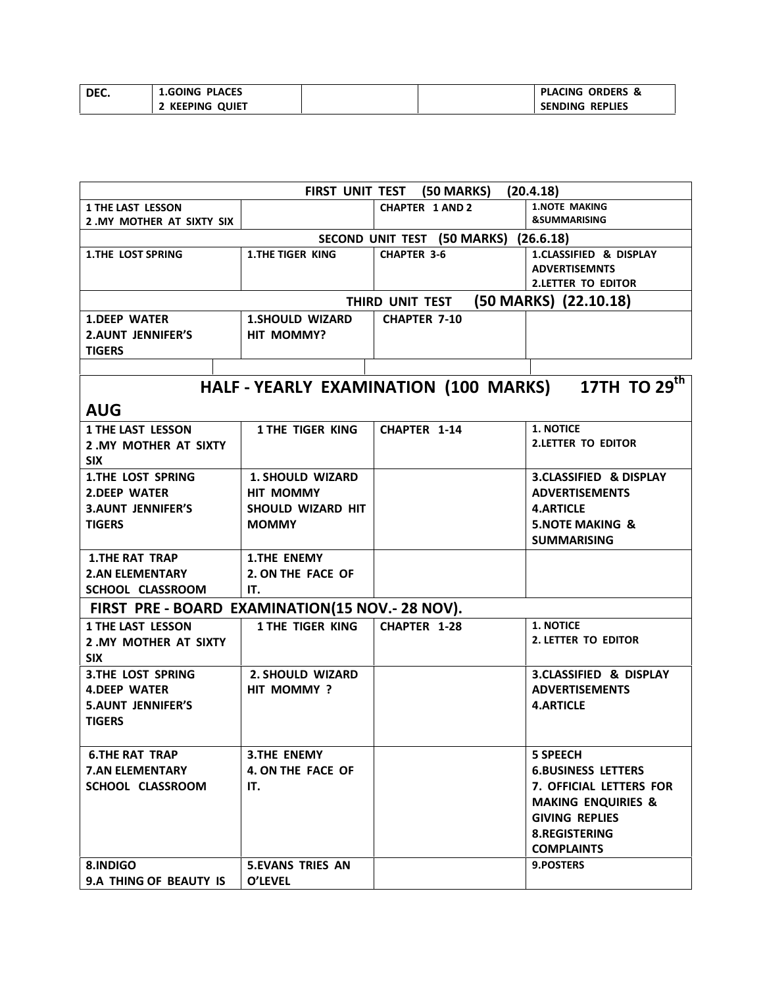| DEC. | <b>1.GOING PLACES</b> | <b>ORDERS &amp;</b><br><b>PLACING</b> |  |
|------|-----------------------|---------------------------------------|--|
|      | <b>KEEPING QUIET</b>  | <b>SENDING REPLIES</b>                |  |

|                                                 |                         | FIRST UNIT TEST (50 MARKS)            | (20.4.18)                         |
|-------------------------------------------------|-------------------------|---------------------------------------|-----------------------------------|
| <b>1 THE LAST LESSON</b>                        |                         | <b>CHAPTER 1 AND 2</b>                | <b>1.NOTE MAKING</b>              |
| 2. MY MOTHER AT SIXTY SIX                       |                         |                                       | <b>&amp;SUMMARISING</b>           |
|                                                 |                         | SECOND UNIT TEST (50 MARKS) (26.6.18) |                                   |
| <b>1.THE LOST SPRING</b>                        | <b>1.THE TIGER KING</b> | <b>CHAPTER 3-6</b>                    | 1.CLASSIFIED & DISPLAY            |
|                                                 |                         |                                       | <b>ADVERTISEMNTS</b>              |
|                                                 |                         |                                       | <b>2.LETTER TO EDITOR</b>         |
|                                                 |                         | THIRD UNIT TEST                       | (50 MARKS) (22.10.18)             |
| <b>1.DEEP WATER</b>                             | <b>1.SHOULD WIZARD</b>  | <b>CHAPTER 7-10</b>                   |                                   |
| <b>2.AUNT JENNIFER'S</b>                        | HIT MOMMY?              |                                       |                                   |
| <b>TIGERS</b>                                   |                         |                                       |                                   |
|                                                 |                         |                                       |                                   |
|                                                 |                         | HALF - YEARLY EXAMINATION (100 MARKS) | 17TH TO 29 <sup>th</sup>          |
|                                                 |                         |                                       |                                   |
| <b>AUG</b>                                      |                         |                                       |                                   |
| <b>1 THE LAST LESSON</b>                        | <b>1 THE TIGER KING</b> | <b>CHAPTER 1-14</b>                   | <b>1. NOTICE</b>                  |
| 2. MY MOTHER AT SIXTY                           |                         |                                       | <b>2.LETTER TO EDITOR</b>         |
| <b>SIX</b>                                      |                         |                                       |                                   |
| <b>1.THE LOST SPRING</b>                        | <b>1. SHOULD WIZARD</b> |                                       | <b>3.CLASSIFIED &amp; DISPLAY</b> |
| 2. DEEP WATER                                   | <b>HIT MOMMY</b>        |                                       | <b>ADVERTISEMENTS</b>             |
| <b>3.AUNT JENNIFER'S</b>                        | SHOULD WIZARD HIT       |                                       | <b>4.ARTICLE</b>                  |
| <b>TIGERS</b>                                   | <b>MOMMY</b>            |                                       | <b>5.NOTE MAKING &amp;</b>        |
|                                                 |                         |                                       | <b>SUMMARISING</b>                |
| <b>1.THE RAT TRAP</b>                           | <b>1.THE ENEMY</b>      |                                       |                                   |
| <b>2.AN ELEMENTARY</b>                          | 2. ON THE FACE OF       |                                       |                                   |
|                                                 | IT.                     |                                       |                                   |
| SCHOOL CLASSROOM                                |                         |                                       |                                   |
| FIRST PRE - BOARD EXAMINATION(15 NOV.- 28 NOV). |                         |                                       |                                   |
| <b>1 THE LAST LESSON</b>                        | 1 THE TIGER KING        | <b>CHAPTER 1-28</b>                   | <b>1. NOTICE</b>                  |
| 2. MY MOTHER AT SIXTY                           |                         |                                       | <b>2. LETTER TO EDITOR</b>        |
| <b>SIX</b>                                      |                         |                                       |                                   |
| <b>3.THE LOST SPRING</b>                        | <b>2. SHOULD WIZARD</b> |                                       | <b>3.CLASSIFIED &amp; DISPLAY</b> |
| <b>4.DEEP WATER</b>                             | HIT MOMMY?              |                                       | <b>ADVERTISEMENTS</b>             |
| <b>5.AUNT JENNIFER'S</b>                        |                         |                                       | <b>4.ARTICLE</b>                  |
| <b>TIGERS</b>                                   |                         |                                       |                                   |
|                                                 |                         |                                       |                                   |
| <b>6.THE RAT TRAP</b>                           | <b>3.THE ENEMY</b>      |                                       | <b>5 SPEECH</b>                   |
| <b>7.AN ELEMENTARY</b>                          | 4. ON THE FACE OF       |                                       | <b>6.BUSINESS LETTERS</b>         |
| SCHOOL CLASSROOM                                | IT.                     |                                       | 7. OFFICIAL LETTERS FOR           |
|                                                 |                         |                                       | <b>MAKING ENQUIRIES &amp;</b>     |
|                                                 |                         |                                       |                                   |
|                                                 |                         |                                       | <b>GIVING REPLIES</b>             |
|                                                 |                         |                                       | <b>8.REGISTERING</b>              |
|                                                 |                         |                                       | <b>COMPLAINTS</b>                 |
| 8.INDIGO                                        | <b>5.EVANS TRIES AN</b> |                                       | 9.POSTERS                         |
| 9.A THING OF BEAUTY IS                          | <b>O'LEVEL</b>          |                                       |                                   |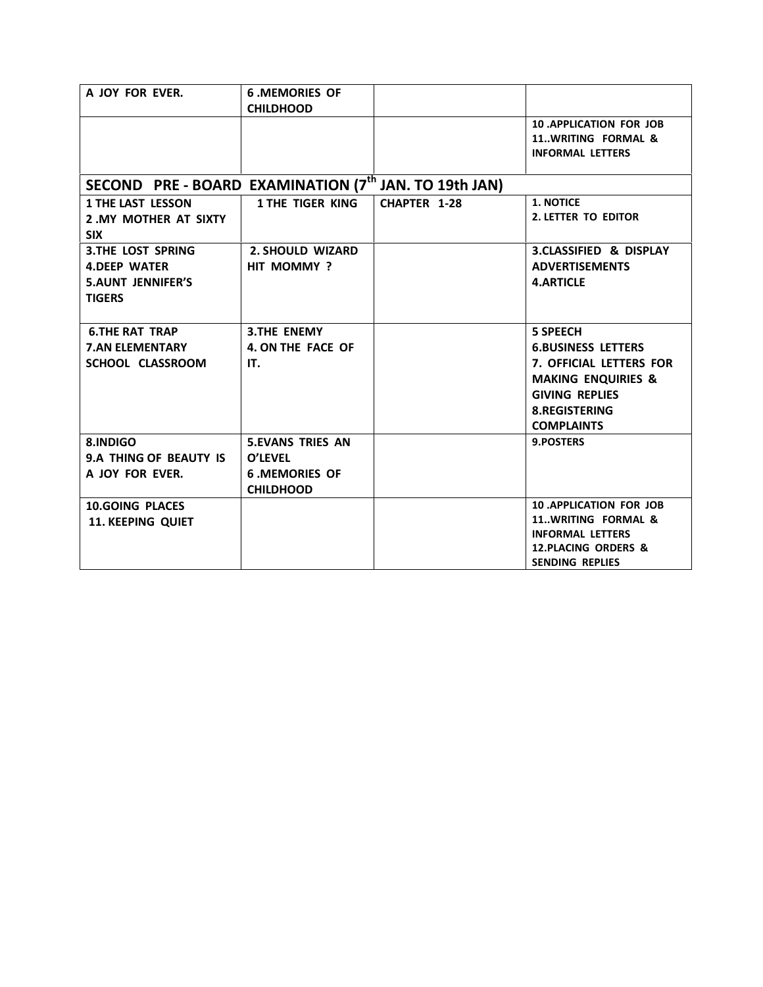| A JOY FOR EVER.                                                                              | <b>6.MEMORIES OF</b><br><b>CHILDHOOD</b>                                        |              |                                                                                                                                                                                |
|----------------------------------------------------------------------------------------------|---------------------------------------------------------------------------------|--------------|--------------------------------------------------------------------------------------------------------------------------------------------------------------------------------|
|                                                                                              |                                                                                 |              | <b>10 .APPLICATION FOR JOB</b><br>11WRITING FORMAL &<br><b>INFORMAL LETTERS</b>                                                                                                |
| SECOND PRE - BOARD EXAMINATION (7 <sup>th</sup> JAN. TO 19th JAN)                            |                                                                                 |              |                                                                                                                                                                                |
| <b>1 THE LAST LESSON</b><br>2. MY MOTHER AT SIXTY<br><b>SIX</b>                              | <b>1 THE TIGER KING</b>                                                         | CHAPTER 1-28 | 1. NOTICE<br>2. LETTER TO EDITOR                                                                                                                                               |
| <b>3.THE LOST SPRING</b><br><b>4.DEEP WATER</b><br><b>5.AUNT JENNIFER'S</b><br><b>TIGERS</b> | <b>2. SHOULD WIZARD</b><br>HIT MOMMY?                                           |              | 3.CLASSIFIED & DISPLAY<br><b>ADVERTISEMENTS</b><br><b>4.ARTICLE</b>                                                                                                            |
| <b>6.THE RAT TRAP</b><br><b>7.AN ELEMENTARY</b><br>SCHOOL CLASSROOM                          | <b>3.THE ENEMY</b><br>4. ON THE FACE OF<br>IT.                                  |              | <b>5 SPEECH</b><br><b>6.BUSINESS LETTERS</b><br>7. OFFICIAL LETTERS FOR<br><b>MAKING ENQUIRIES &amp;</b><br><b>GIVING REPLIES</b><br><b>8.REGISTERING</b><br><b>COMPLAINTS</b> |
| 8.INDIGO<br>9.A THING OF BEAUTY IS<br>A JOY FOR EVER.                                        | <b>5.EVANS TRIES AN</b><br>O'LEVEL<br><b>6 .MEMORIES OF</b><br><b>CHILDHOOD</b> |              | 9.POSTERS                                                                                                                                                                      |
| <b>10.GOING PLACES</b><br><b>11. KEEPING QUIET</b>                                           |                                                                                 |              | <b>10 .APPLICATION FOR JOB</b><br>11WRITING FORMAL &<br><b>INFORMAL LETTERS</b><br><b>12.PLACING ORDERS &amp;</b><br><b>SENDING REPLIES</b>                                    |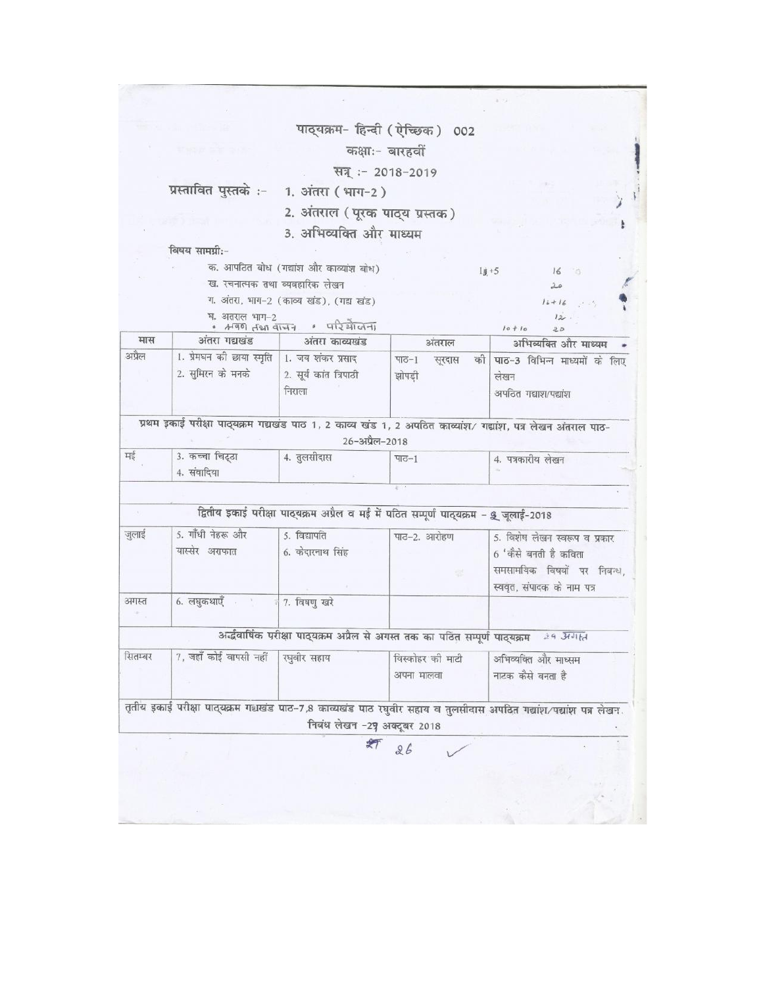|         |                                                                    | पाठ्यक्रम- हिन्दी (ऐच्छिक) 002                                                         |                                      |                                                                                                                                  |
|---------|--------------------------------------------------------------------|----------------------------------------------------------------------------------------|--------------------------------------|----------------------------------------------------------------------------------------------------------------------------------|
|         |                                                                    | कक्षाः- बारहवीं                                                                        |                                      |                                                                                                                                  |
|         |                                                                    | सन् :- 2018-2019                                                                       |                                      |                                                                                                                                  |
|         | प्रस्तावित पुस्तके :- 1. अंतरा (भाग-2)                             |                                                                                        |                                      |                                                                                                                                  |
|         |                                                                    | 2. अंतराल (पूरक पाठ्य प्रस्तक)                                                         |                                      |                                                                                                                                  |
|         |                                                                    | 3. अभिव्यक्ति और माध्यम                                                                |                                      |                                                                                                                                  |
|         | विषय सामग्री:-                                                     |                                                                                        |                                      |                                                                                                                                  |
|         |                                                                    | क. आपठित बोध (गद्यांश और काव्यांश बोध)                                                 |                                      | $1 + 5$<br>$16^\circ$                                                                                                            |
|         | ख. रचनात्मक तथा व्यवहारिक लेखन                                     |                                                                                        |                                      | 20                                                                                                                               |
|         |                                                                    | ग. अंतरा, भाग-2 (काव्य खंड), (गद्य खंड)                                                |                                      | $16 + 16$                                                                                                                        |
|         | घ. अतराल भाग-2                                                     | $+490$ $490$ $-147$ $+140$                                                             |                                      | 12.<br>$10 + 10$<br>20                                                                                                           |
| मास     | अंतरा गद्यखंड                                                      | अंतरा काव्यखंड                                                                         | अंतराल                               | अभिव्यक्ति और माध्यम                                                                                                             |
| अप्रैल  | 1. प्रेमधन की छाया स्मृति   1. जय शंकर प्रसाद<br>2. सुमिरन को मनको | 2. सूर्य कांत त्रिपाठी<br>निराला                                                       | पाठ $-1$<br>सूरदास<br>को ।<br>झोपड़ी | पाठ-3 विभिन्न माध्यमों के लिए<br>लेखन<br>अपठित गद्याश/पद्यांश                                                                    |
| मई      | 3. कच्चा चिट्ठा<br>4. संवादिया                                     | 26-अप्रैल-2018<br>4. तुलसीदास                                                          | पाठ $-1$                             | प्रथम इकाई परीक्षा पाठ्यक्रम गद्यखंड पाठ 1, 2 काव्य खंड 1, 2 अपठित काव्यांश/ गद्यांश, पत्र लेखन अंतराल पाठ-<br>4. पत्रकारीय लेखन |
|         |                                                                    |                                                                                        |                                      |                                                                                                                                  |
|         |                                                                    |                                                                                        |                                      |                                                                                                                                  |
| (0, 0)  |                                                                    | द्वितीय इकाई परीक्षा पाठ्यक्रम अप्रैल व मई में पठित सम्पूर्ण पाठ्यक्रम - 9 जुलाई-2018  |                                      |                                                                                                                                  |
| जुलाई   | 5. गाँधी नेहरू और<br>यास्सेर अराफात                                | 5. विद्यापति<br>6. केदारनाथ सिंह                                                       | पाठ-2. आरोहण                         | 5. विशेष लेखन स्वरूप व प्रकार<br>6 'कैसे बनती है कविता<br>समसामयिक विषयों पर निबन्ध,<br>स्ववृत, संपादक के नाम पत्र               |
| अगस्त   | 6. लघुकथाएँ बार के 7. विषणु खरे                                    |                                                                                        |                                      |                                                                                                                                  |
|         |                                                                    | अर्द्धवार्षिक परीक्षा पाठ्यक्रम अप्रैल से अगस्त तक का पठित सम्पूर्ण पाठ्यक्रम 29 अगस्त |                                      |                                                                                                                                  |
| सितम्बर | 7, जहाँ कोई वापसी नहीं                                             | रघुवीर सहाय                                                                            | विस्कोहर की माटी<br>अपना मालवा       | अभिव्यक्ति और माध्सम<br>नाटक कैसे बनता है                                                                                        |
|         |                                                                    | निबंध लेखन -29 अक्टूबर 2018                                                            |                                      | तृतीय इकाई परीक्षा पाठ्यक्रम गद्यखंड पाठ-7,8 काव्यखंड पाठ रघुवीर सहाय व तुलसीदास अपठित गद्यांश/पद्यांश पत्र लेखन                 |
|         |                                                                    |                                                                                        | 26                                   |                                                                                                                                  |
|         |                                                                    |                                                                                        |                                      |                                                                                                                                  |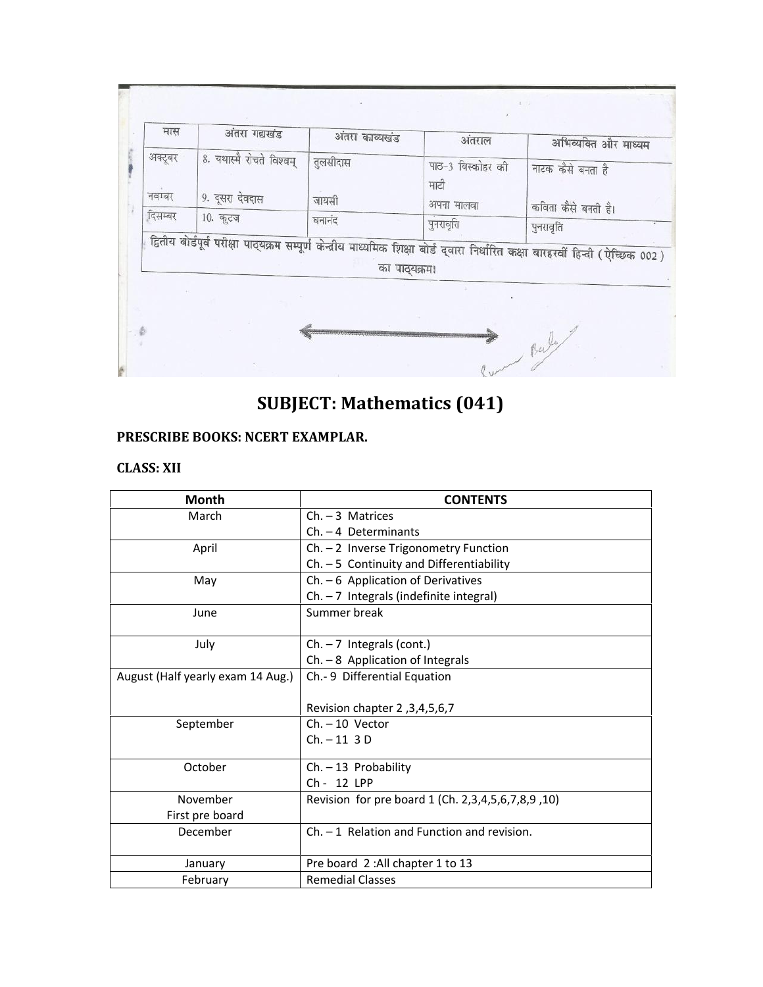| मास               | अंतरा गद्यखंड                               | अंतरा काव्यखंड    | अंतराल                    | अभिव्यक्ति और माध्यम                                                                                                              |
|-------------------|---------------------------------------------|-------------------|---------------------------|-----------------------------------------------------------------------------------------------------------------------------------|
| अक्टूबर<br>नवम्बर | 8. यथास्मै रोचते विश्वम्<br>9. दूसरा देवदास | तुलसीदास<br>जायसी | पाठ-3 बिस्कोहर की<br>माटी | नाटक कैसे बनता है                                                                                                                 |
| दिसम्बर           | 10. कृटज                                    | घनानंद            | अपना मालवा<br>पुनरावृति   | कविता कैसे बनती है।<br>पुनरावृति                                                                                                  |
|                   |                                             | का पाठ्यक्रम।     |                           | द्वितीय बोर्डपूर्व परीक्षा पाठ्यक्रम सम्पूर्ण केन्द्रीय माध्यमिक शिक्षा बोर्ड द्वारा निर्धारित कक्षा बारहरवीं हिन्दी (ऐच्छिक 002) |
|                   |                                             |                   |                           |                                                                                                                                   |

# **SUBJECT: Mathematics (041)**

### **PRESCRIBE BOOKS: NCERT EXAMPLAR.**

### **CLASS: XII**

| <b>Month</b>                      | <b>CONTENTS</b>                                           |
|-----------------------------------|-----------------------------------------------------------|
| March                             | $Ch. - 3$ Matrices                                        |
|                                   | $Ch. - 4$ Determinants                                    |
| April                             | $Ch. - 2$ Inverse Trigonometry Function                   |
|                                   | Ch. - 5 Continuity and Differentiability                  |
| May                               | $Ch. - 6$ Application of Derivatives                      |
|                                   | $Ch. - 7$ Integrals (indefinite integral)                 |
| June                              | Summer break                                              |
|                                   |                                                           |
| July                              | $Ch. - 7$ Integrals (cont.)                               |
|                                   | $Ch. - 8$ Application of Integrals                        |
| August (Half yearly exam 14 Aug.) | Ch.- 9 Differential Equation                              |
|                                   |                                                           |
|                                   | Revision chapter 2, 3, 4, 5, 6, 7                         |
| September                         | $Ch. - 10$ Vector                                         |
|                                   | $Ch. - 11.3 D$                                            |
|                                   |                                                           |
| October                           | $Ch. -13$ Probability<br>Ch - 12 LPP                      |
|                                   |                                                           |
| November                          | Revision for pre board 1 (Ch. 2, 3, 4, 5, 6, 7, 8, 9, 10) |
| First pre board                   |                                                           |
| December                          | $Ch. - 1$ Relation and Function and revision.             |
|                                   |                                                           |
| January                           | Pre board 2: All chapter 1 to 13                          |
| February                          | <b>Remedial Classes</b>                                   |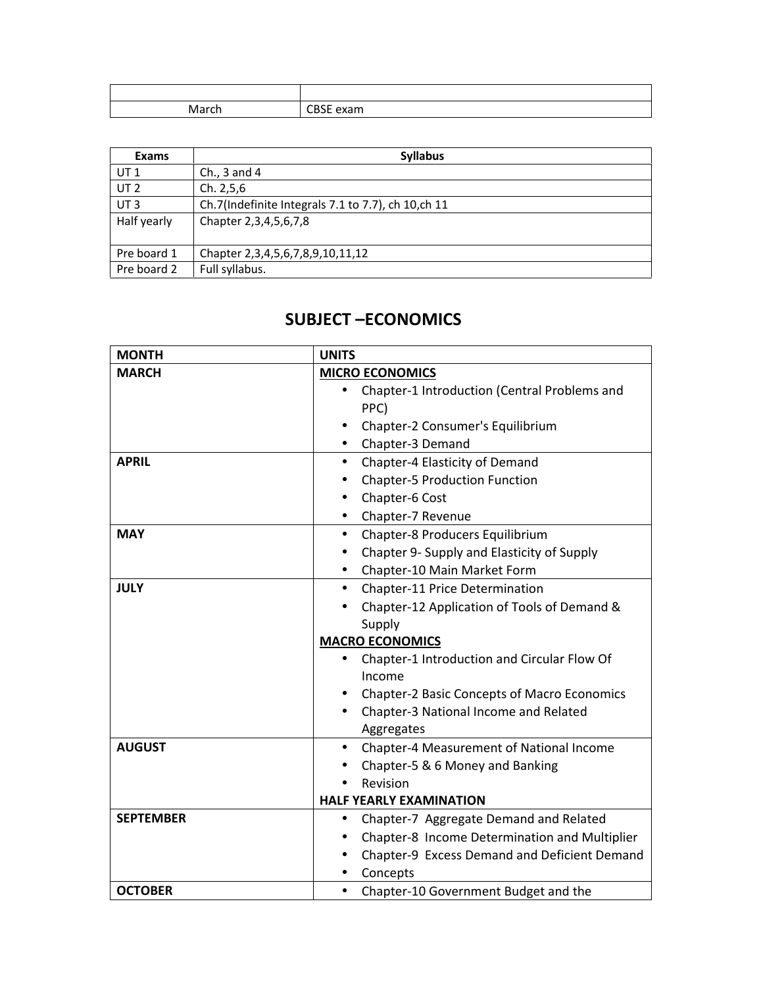| March | CBSE exam |
|-------|-----------|

| Exams           | <b>Syllabus</b>                                     |  |
|-----------------|-----------------------------------------------------|--|
| UT <sub>1</sub> | Ch., $3$ and $4$                                    |  |
| UT <sub>2</sub> | Ch. 2, 5, 6                                         |  |
| UT <sub>3</sub> | Ch.7(Indefinite Integrals 7.1 to 7.7), ch 10, ch 11 |  |
| Half yearly     | Chapter 2,3,4,5,6,7,8                               |  |
| Pre board 1     | Chapter 2, 3, 4, 5, 6, 7, 8, 9, 10, 11, 12          |  |
| Pre board 2     | Full syllabus.                                      |  |

### **SUBJECT –ECONOMICS**

| <b>MONTH</b>     | <b>UNITS</b>                                          |
|------------------|-------------------------------------------------------|
| <b>MARCH</b>     | <b>MICRO ECONOMICS</b>                                |
|                  | Chapter-1 Introduction (Central Problems and          |
|                  | PPC)                                                  |
|                  | Chapter-2 Consumer's Equilibrium                      |
|                  | Chapter-3 Demand                                      |
| <b>APRIL</b>     | Chapter-4 Elasticity of Demand<br>$\bullet$           |
|                  | <b>Chapter-5 Production Function</b>                  |
|                  | Chapter-6 Cost                                        |
|                  | Chapter-7 Revenue                                     |
| <b>MAY</b>       | Chapter-8 Producers Equilibrium<br>$\bullet$          |
|                  | Chapter 9- Supply and Elasticity of Supply            |
|                  | Chapter-10 Main Market Form                           |
| <b>JULY</b>      | Chapter-11 Price Determination<br>$\bullet$           |
|                  | Chapter-12 Application of Tools of Demand &           |
|                  | Supply                                                |
|                  | <b>MACRO ECONOMICS</b>                                |
|                  | Chapter-1 Introduction and Circular Flow Of           |
|                  | Income                                                |
|                  | <b>Chapter-2 Basic Concepts of Macro Economics</b>    |
|                  | Chapter-3 National Income and Related                 |
|                  | Aggregates                                            |
| <b>AUGUST</b>    | Chapter-4 Measurement of National Income<br>$\bullet$ |
|                  | Chapter-5 & 6 Money and Banking                       |
|                  | Revision                                              |
|                  | <b>HALF YEARLY EXAMINATION</b>                        |
| <b>SEPTEMBER</b> | Chapter-7 Aggregate Demand and Related<br>$\bullet$   |
|                  | Chapter-8 Income Determination and Multiplier         |
|                  | Chapter-9 Excess Demand and Deficient Demand          |
|                  | Concepts                                              |
| <b>OCTOBER</b>   | Chapter-10 Government Budget and the                  |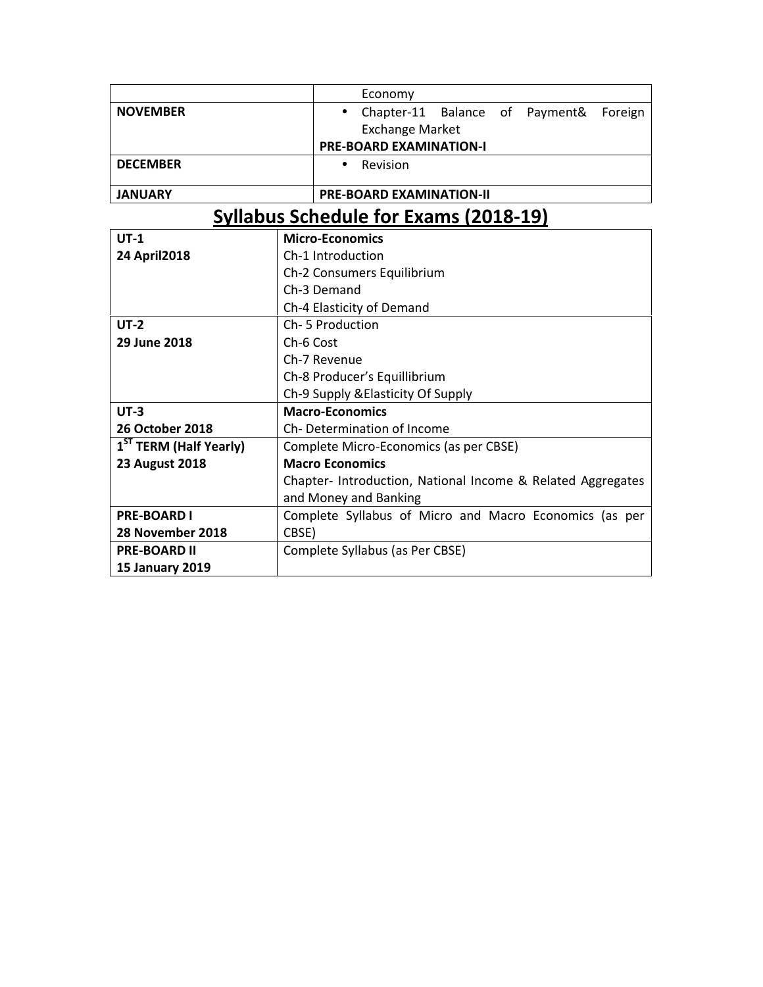|                                    | Economy                                                     |  |  |
|------------------------------------|-------------------------------------------------------------|--|--|
| <b>NOVEMBER</b>                    | Chapter-11 Balance<br>of Payment&<br>Foreign<br>$\bullet$   |  |  |
|                                    | <b>Exchange Market</b>                                      |  |  |
|                                    | <b>PRE-BOARD EXAMINATION-I</b>                              |  |  |
| <b>DECEMBER</b>                    | Revision                                                    |  |  |
| <b>JANUARY</b>                     | <b>PRE-BOARD EXAMINATION-II</b>                             |  |  |
|                                    | <b>Syllabus Schedule for Exams (2018-19)</b>                |  |  |
| $UT-1$                             | <b>Micro-Economics</b>                                      |  |  |
| 24 April 2018                      | Ch-1 Introduction                                           |  |  |
|                                    | Ch-2 Consumers Equilibrium                                  |  |  |
|                                    | Ch-3 Demand                                                 |  |  |
|                                    | Ch-4 Elasticity of Demand                                   |  |  |
| $UT-2$                             | Ch-5 Production                                             |  |  |
| 29 June 2018                       | Ch-6 Cost                                                   |  |  |
|                                    | Ch-7 Revenue                                                |  |  |
|                                    | Ch-8 Producer's Equillibrium                                |  |  |
|                                    | Ch-9 Supply & Elasticity Of Supply                          |  |  |
| $UT-3$                             | <b>Macro-Economics</b>                                      |  |  |
| <b>26 October 2018</b>             | Ch-Determination of Income                                  |  |  |
| 1 <sup>ST</sup> TERM (Half Yearly) | Complete Micro-Economics (as per CBSE)                      |  |  |
| <b>23 August 2018</b>              | <b>Macro Economics</b>                                      |  |  |
|                                    | Chapter- Introduction, National Income & Related Aggregates |  |  |
|                                    | and Money and Banking                                       |  |  |
| <b>PRE-BOARD I</b>                 | Complete Syllabus of Micro and Macro Economics (as per      |  |  |
| 28 November 2018                   | CBSE)                                                       |  |  |
| <b>PRE-BOARD II</b>                | Complete Syllabus (as Per CBSE)                             |  |  |
| <b>15 January 2019</b>             |                                                             |  |  |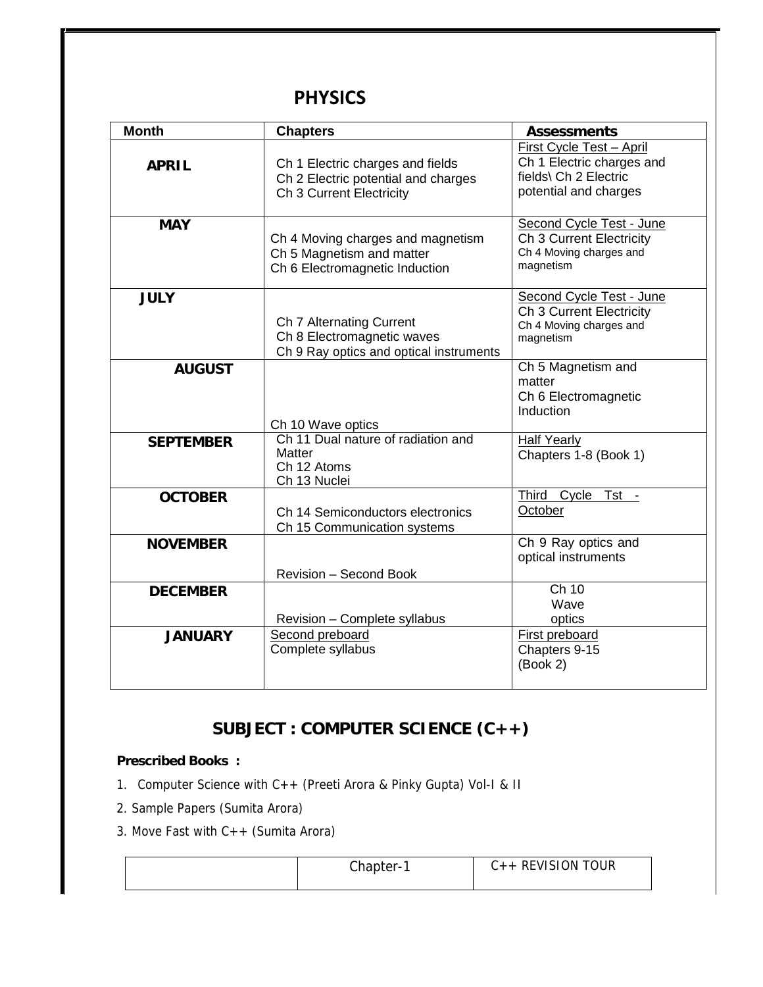### **PHYSICS**

| <b>Month</b>     | <b>Chapters</b>                                                                                     | Assessments                                                                                             |
|------------------|-----------------------------------------------------------------------------------------------------|---------------------------------------------------------------------------------------------------------|
| APRIL            | Ch 1 Electric charges and fields<br>Ch 2 Electric potential and charges<br>Ch 3 Current Electricity | First Cycle Test - April<br>Ch 1 Electric charges and<br>fields\ Ch 2 Electric<br>potential and charges |
| <b>MAY</b>       | Ch 4 Moving charges and magnetism<br>Ch 5 Magnetism and matter<br>Ch 6 Electromagnetic Induction    | Second Cycle Test - June<br>Ch 3 Current Electricity<br>Ch 4 Moving charges and<br>magnetism            |
| <b>JULY</b>      | Ch 7 Alternating Current<br>Ch 8 Electromagnetic waves<br>Ch 9 Ray optics and optical instruments   | Second Cycle Test - June<br>Ch 3 Current Electricity<br>Ch 4 Moving charges and<br>magnetism            |
| <b>AUGUST</b>    | Ch 10 Wave optics                                                                                   | Ch 5 Magnetism and<br>matter<br>Ch 6 Electromagnetic<br>Induction                                       |
| <b>SEPTEMBER</b> | Ch 11 Dual nature of radiation and<br>Matter<br>Ch 12 Atoms<br>Ch 13 Nuclei                         | <b>Half Yearly</b><br>Chapters 1-8 (Book 1)                                                             |
| <b>OCTOBER</b>   | Ch 14 Semiconductors electronics<br>Ch 15 Communication systems                                     | Third Cycle Tst -<br>October                                                                            |
| <b>NOVEMBER</b>  | Revision - Second Book                                                                              | Ch 9 Ray optics and<br>optical instruments                                                              |
| <b>DECEMBER</b>  | Revision - Complete syllabus                                                                        | Ch 10<br>Wave<br>optics                                                                                 |
| <b>JANUARY</b>   | Second preboard<br>Complete syllabus                                                                | <b>First preboard</b><br>Chapters 9-15<br>(Book 2)                                                      |

# **SUBJECT : COMPUTER SCIENCE (C++)**

**Prescribed Books :**

- 1. Computer Science with C++ (Preeti Arora & Pinky Gupta) Vol-I & II
- 2. Sample Papers (Sumita Arora)
- 3. Move Fast with C++ (Sumita Arora)

|  | Chapter- <sup>2</sup> | $C++$ REVISION TOUR |  |
|--|-----------------------|---------------------|--|
|--|-----------------------|---------------------|--|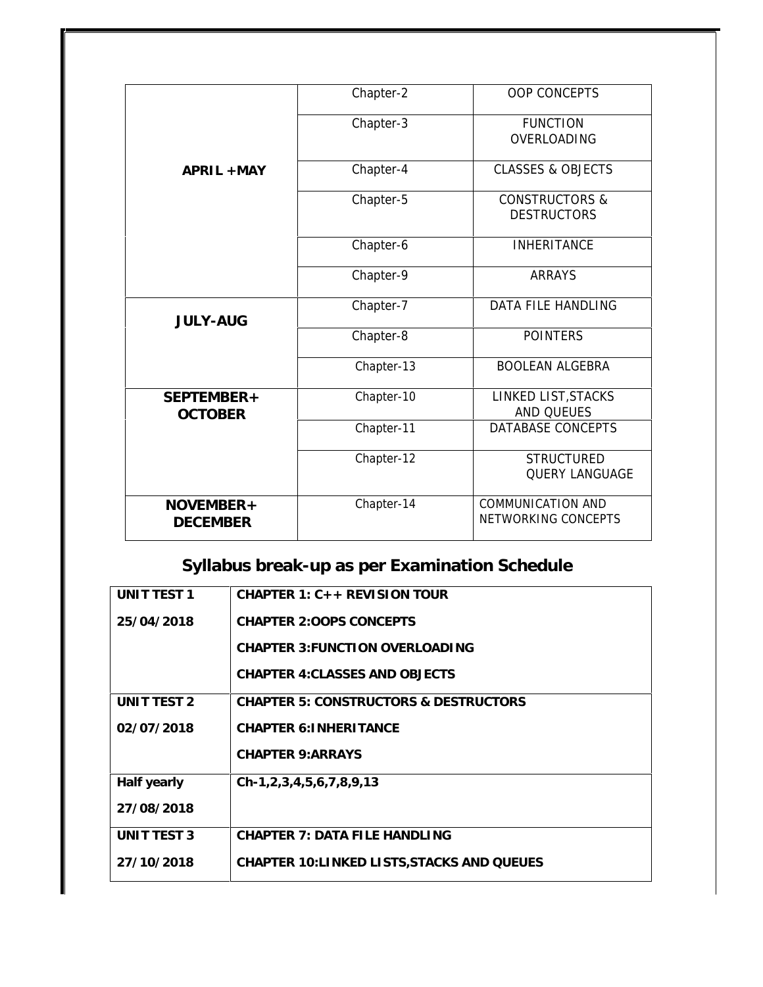|                 | Chapter-2  | <b>OOP CONCEPTS</b>          |
|-----------------|------------|------------------------------|
|                 |            |                              |
|                 | Chapter-3  | <b>FUNCTION</b>              |
|                 |            | OVERLOADING                  |
| APRIL + MAY     | Chapter-4  | <b>CLASSES &amp; OBJECTS</b> |
|                 | Chapter-5  | <b>CONSTRUCTORS &amp;</b>    |
|                 |            | <b>DESTRUCTORS</b>           |
|                 | Chapter-6  | <b>INHERITANCE</b>           |
|                 | Chapter-9  | <b>ARRAYS</b>                |
| <b>JULY-AUG</b> | Chapter-7  | <b>DATA FILE HANDLING</b>    |
|                 | Chapter-8  | <b>POINTERS</b>              |
|                 | Chapter-13 | <b>BOOLEAN ALGEBRA</b>       |
| SEPTEMBER+      | Chapter-10 | LINKED LIST, STACKS          |
| <b>OCTOBER</b>  |            | <b>AND QUEUES</b>            |
|                 | Chapter-11 | <b>DATABASE CONCEPTS</b>     |
|                 | Chapter-12 | <b>STRUCTURED</b>            |
|                 |            | <b>QUERY LANGUAGE</b>        |
| $NOVEMBER+$     | Chapter-14 | <b>COMMUNICATION AND</b>     |
| <b>DECEMBER</b> |            | NETWORKING CONCEPTS          |

# **Syllabus break-up as per Examination Schedule**

| UNIT TEST 1 | CHAPTER 1: $C_{++}$ REVISION TOUR                |
|-------------|--------------------------------------------------|
| 25/04/2018  | <b>CHAPTER 2:00PS CONCEPTS</b>                   |
|             | CHAPTER 3: FUNCTION OVERLOADING                  |
|             | <b>CHAPTER 4: CLASSES AND OBJECTS</b>            |
| UNIT TEST 2 | <b>CHAPTER 5: CONSTRUCTORS &amp; DESTRUCTORS</b> |
| 02/07/2018  | CHAPTER 6: INHERITANCE                           |
|             | CHAPTER 9: ARRAYS                                |
| Half yearly | $Ch-1, 2, 3, 4, 5, 6, 7, 8, 9, 13$               |
| 27/08/2018  |                                                  |
| UNIT TEST 3 | CHAPTER 7: DATA FILE HANDLING                    |
| 27/10/2018  | CHAPTER 10: LINKED LISTS, STACKS AND QUEUES      |
|             |                                                  |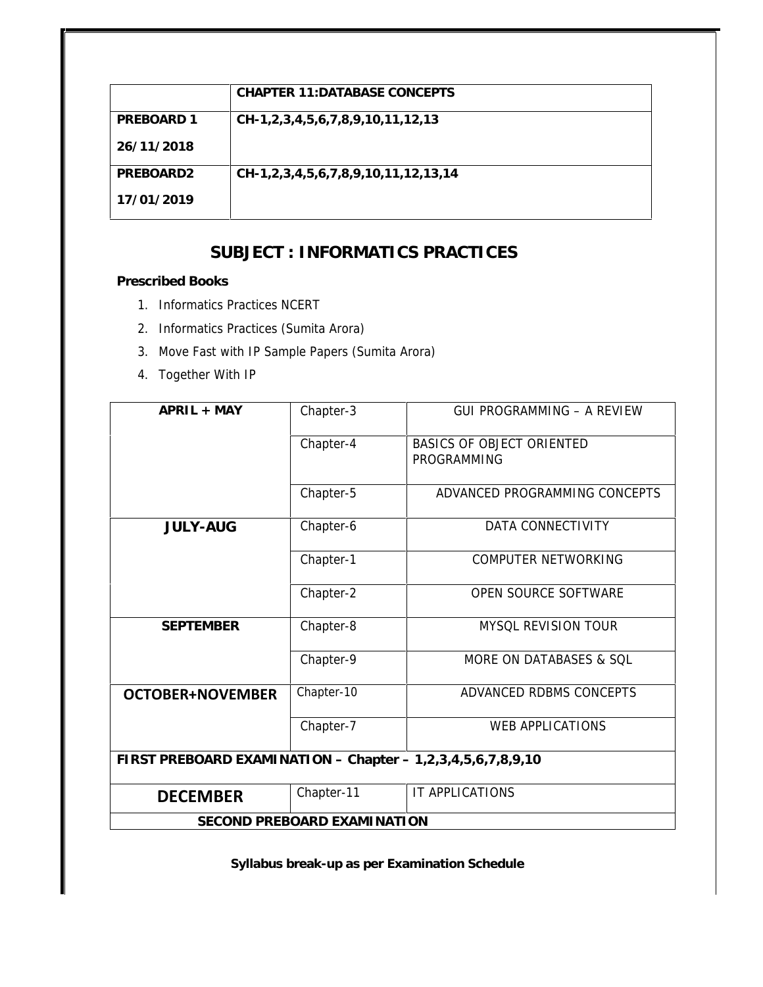|                       | CHAPTER 11: DATABASE CONCEPTS       |
|-----------------------|-------------------------------------|
| PREBOARD 1            | CH-1,2,3,4,5,6,7,8,9,10,11,12,13    |
| 26/11/2018            |                                     |
| PRFBOARD <sub>2</sub> | CH-1,2,3,4,5,6,7,8,9,10,11,12,13,14 |
| 17/01/2019            |                                     |

### **SUBJECT : INFORMATICS PRACTICES**

**Prescribed Books**

- 1. Informatics Practices NCERT
- 2. Informatics Practices (Sumita Arora)
- 3. Move Fast with IP Sample Papers (Sumita Arora)
- 4. Together With IP

| $APRIL + MAY$                                               | Chapter-3                   | <b>GUI PROGRAMMING - A REVIEW</b>               |
|-------------------------------------------------------------|-----------------------------|-------------------------------------------------|
|                                                             | Chapter-4                   | <b>BASICS OF OBJECT ORIENTED</b><br>PROGRAMMING |
|                                                             | Chapter-5                   | ADVANCED PROGRAMMING CONCEPTS                   |
| <b>JULY-AUG</b>                                             | Chapter-6                   | DATA CONNECTIVITY                               |
|                                                             | Chapter-1                   | <b>COMPUTER NETWORKING</b>                      |
|                                                             | Chapter-2                   | OPEN SOURCE SOFTWARE                            |
| <b>SEPTEMBER</b>                                            | Chapter-8                   | MYSQL REVISION TOUR                             |
|                                                             | Chapter-9                   | MORE ON DATABASES & SQL                         |
| <b>OCTOBER+NOVEMBER</b>                                     | Chapter-10                  | ADVANCED RDBMS CONCEPTS                         |
|                                                             | Chapter-7                   | WEB APPLICATIONS                                |
| FIRST PREBOARD EXAMINATION - Chapter - 1,2,3,4,5,6,7,8,9,10 |                             |                                                 |
| <b>DECEMBER</b>                                             | Chapter-11                  | IT APPLICATIONS                                 |
|                                                             | SECOND PREBOARD EXAMINATION |                                                 |

**Syllabus break-up as per Examination Schedule**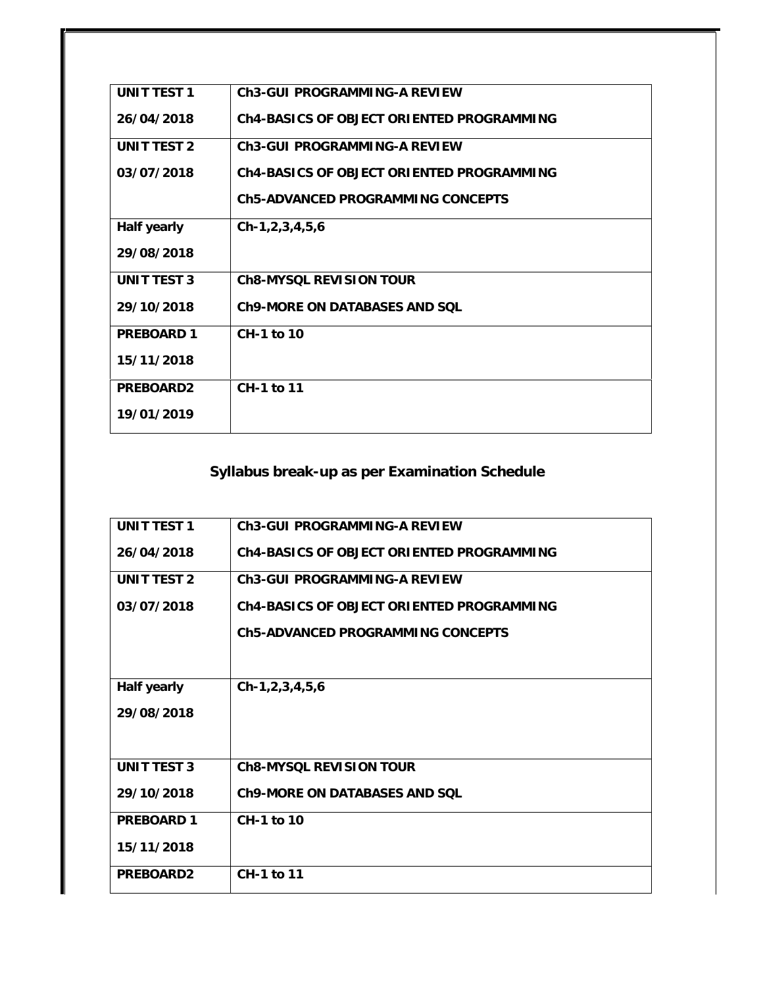| UNIT TEST 1        | Ch3-GUI PROGRAMMING-A REVIEW              |
|--------------------|-------------------------------------------|
| 26/04/2018         | Ch4-BASICS OF OBJECT ORIENTED PROGRAMMING |
| UNIT TEST 2        | Ch3-GUI PROGRAMMING-A REVIEW              |
| 03/07/2018         | Ch4-BASICS OF OBJECT ORIENTED PROGRAMMING |
|                    | Ch5-ADVANCED PROGRAMMING CONCEPTS         |
| Half yearly        | $Ch-1, 2, 3, 4, 5, 6$                     |
| 29/08/2018         |                                           |
| <b>UNIT TEST 3</b> | Ch8-MYSQL REVISION TOUR                   |
| 29/10/2018         | Ch9-MORE ON DATABASES AND SOL             |
| PREBOARD 1         | $CH-1$ to 10                              |
| 15/11/2018         |                                           |
| PREBOARD2          | CH-1 to 11                                |
| 19/01/2019         |                                           |

## **Syllabus break-up as per Examination Schedule**

| UNIT TEST 1 | Ch3-GULPROGRAMMING-A REVIEW               |
|-------------|-------------------------------------------|
| 26/04/2018  | Ch4-BASICS OF OBJECT ORIENTED PROGRAMMING |
| UNIT TEST 2 | Ch3-GULPROGRAMMING-A REVIEW               |
| 03/07/2018  | Ch4-BASICS OF OBJECT ORIENTED PROGRAMMING |
|             | Ch5-ADVANCED PROGRAMMING CONCEPTS         |
|             |                                           |
| Half yearly | $Ch-1, 2, 3, 4, 5, 6$                     |
| 29/08/2018  |                                           |
|             |                                           |
| UNIT TEST 3 | Ch8-MYSQL REVISION TOUR                   |
| 29/10/2018  | Ch9-MORE ON DATABASES AND SOL             |
| PRFBOARD 1  | CH-1 to 10                                |
| 15/11/2018  |                                           |
| PREBOARD2   | $CH-1$ to 11                              |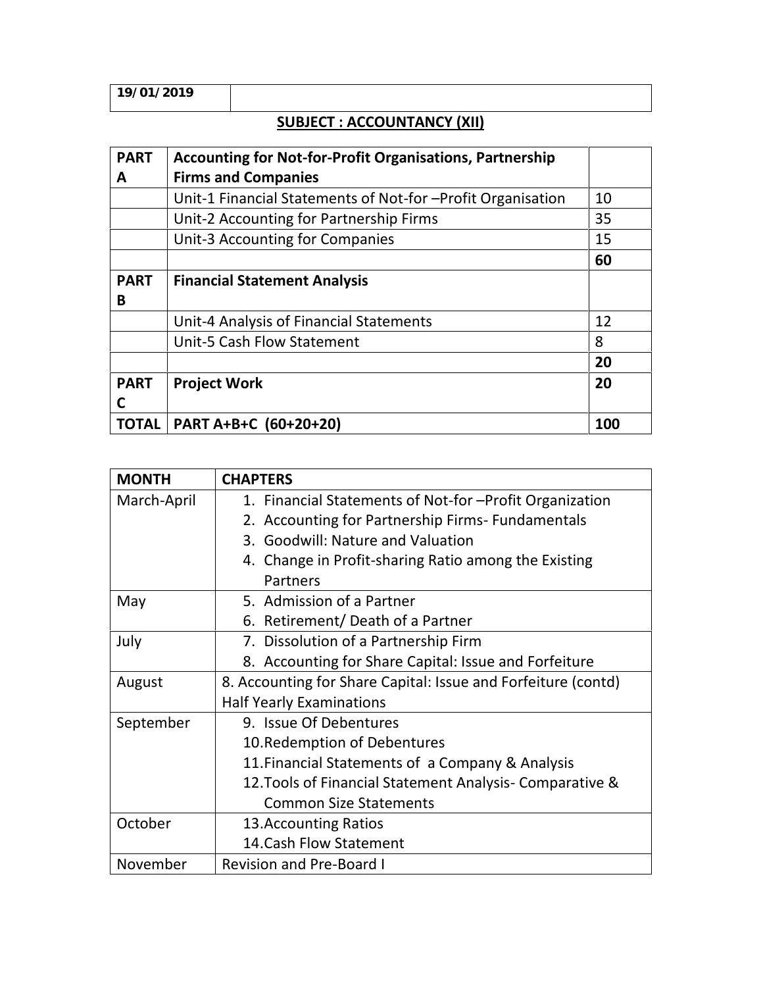### **SUBJECT : ACCOUNTANCY (XII)**

| <b>PART</b><br>A | <b>Accounting for Not-for-Profit Organisations, Partnership</b><br><b>Firms and Companies</b> |     |
|------------------|-----------------------------------------------------------------------------------------------|-----|
|                  | Unit-1 Financial Statements of Not-for -Profit Organisation                                   | 10  |
|                  | Unit-2 Accounting for Partnership Firms                                                       | 35  |
|                  | Unit-3 Accounting for Companies                                                               | 15  |
|                  |                                                                                               | 60  |
| <b>PART</b>      | <b>Financial Statement Analysis</b>                                                           |     |
| B                |                                                                                               |     |
|                  | Unit-4 Analysis of Financial Statements                                                       | 12  |
|                  | <b>Unit-5 Cash Flow Statement</b>                                                             | 8   |
|                  |                                                                                               | 20  |
| <b>PART</b>      | <b>Project Work</b>                                                                           | 20  |
|                  |                                                                                               |     |
| TOTAL            | PART A+B+C (60+20+20)                                                                         | 100 |

| <b>MONTH</b> | <b>CHAPTERS</b>                                               |
|--------------|---------------------------------------------------------------|
| March-April  | 1. Financial Statements of Not-for-Profit Organization        |
|              | 2. Accounting for Partnership Firms- Fundamentals             |
|              | 3. Goodwill: Nature and Valuation                             |
|              | 4. Change in Profit-sharing Ratio among the Existing          |
|              | Partners                                                      |
| May          | 5. Admission of a Partner                                     |
|              | 6. Retirement/Death of a Partner                              |
| July         | 7. Dissolution of a Partnership Firm                          |
|              | 8. Accounting for Share Capital: Issue and Forfeiture         |
| August       | 8. Accounting for Share Capital: Issue and Forfeiture (contd) |
|              | <b>Half Yearly Examinations</b>                               |
| September    | 9. Issue Of Debentures                                        |
|              | 10. Redemption of Debentures                                  |
|              | 11. Financial Statements of a Company & Analysis              |
|              | 12. Tools of Financial Statement Analysis - Comparative &     |
|              | <b>Common Size Statements</b>                                 |
| October      | 13. Accounting Ratios                                         |
|              | 14. Cash Flow Statement                                       |
| November     | <b>Revision and Pre-Board I</b>                               |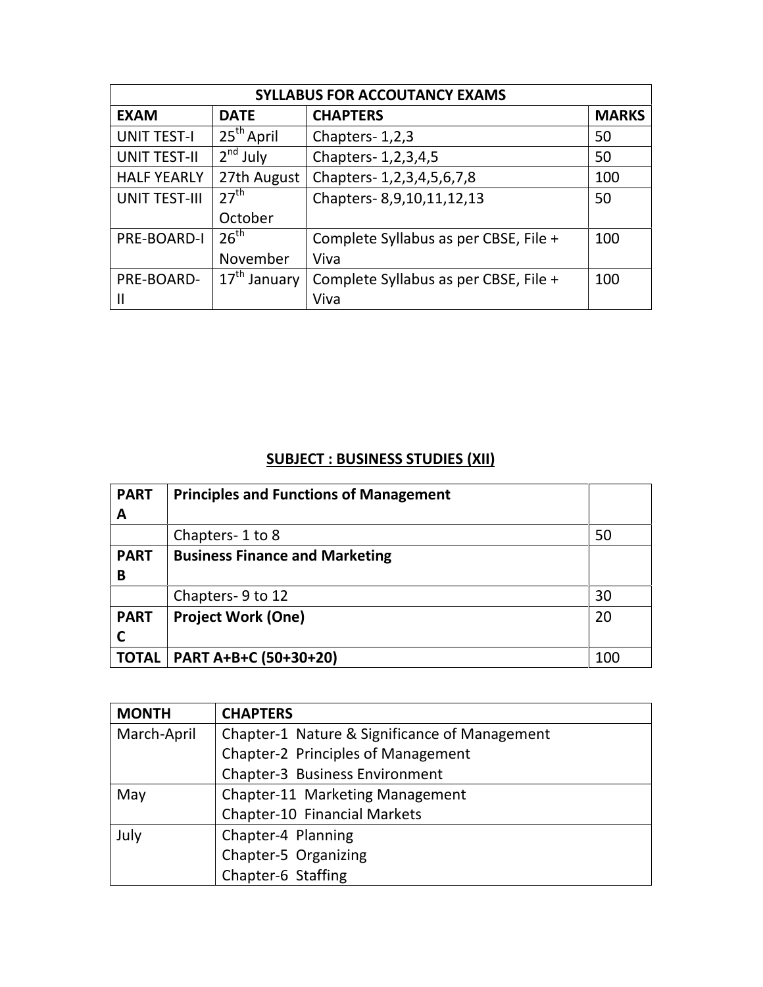| <b>SYLLABUS FOR ACCOUTANCY EXAMS</b> |                          |                                       |              |
|--------------------------------------|--------------------------|---------------------------------------|--------------|
| <b>EXAM</b>                          | <b>DATE</b>              | <b>CHAPTERS</b>                       | <b>MARKS</b> |
| <b>UNIT TEST-I</b>                   | 25 <sup>th</sup> April   | Chapters-1,2,3                        | 50           |
| <b>UNIT TEST-II</b>                  | $2nd$ July               | Chapters- 1, 2, 3, 4, 5               | 50           |
| <b>HALF YEARLY</b>                   | 27th August              | Chapters-1,2,3,4,5,6,7,8              | 100          |
| <b>UNIT TEST-III</b>                 | 27 <sup>th</sup>         | Chapters-8,9,10,11,12,13              | 50           |
|                                      | October                  |                                       |              |
| PRE-BOARD-I                          | 26 <sup>th</sup>         | Complete Syllabus as per CBSE, File + | 100          |
|                                      | November                 | Viva                                  |              |
| PRE-BOARD-                           | 17 <sup>th</sup> January | Complete Syllabus as per CBSE, File + | 100          |
|                                      |                          | Viva                                  |              |

### **SUBJECT : BUSINESS STUDIES (XII)**

| <b>PART</b>  | <b>Principles and Functions of Management</b> |     |
|--------------|-----------------------------------------------|-----|
| A            |                                               |     |
|              | Chapters-1 to 8                               | 50  |
| <b>PART</b>  | <b>Business Finance and Marketing</b>         |     |
| B            |                                               |     |
|              | Chapters-9 to 12                              | 30  |
| <b>PART</b>  | <b>Project Work (One)</b>                     | 20  |
|              |                                               |     |
| <b>TOTAL</b> | PART A+B+C (50+30+20)                         | 100 |

| <b>MONTH</b> | <b>CHAPTERS</b>                               |
|--------------|-----------------------------------------------|
| March-April  | Chapter-1 Nature & Significance of Management |
|              | Chapter-2 Principles of Management            |
|              | Chapter-3 Business Environment                |
| May          | Chapter-11 Marketing Management               |
|              | Chapter-10 Financial Markets                  |
| July         | Chapter-4 Planning                            |
|              | Chapter-5 Organizing                          |
|              | Chapter-6 Staffing                            |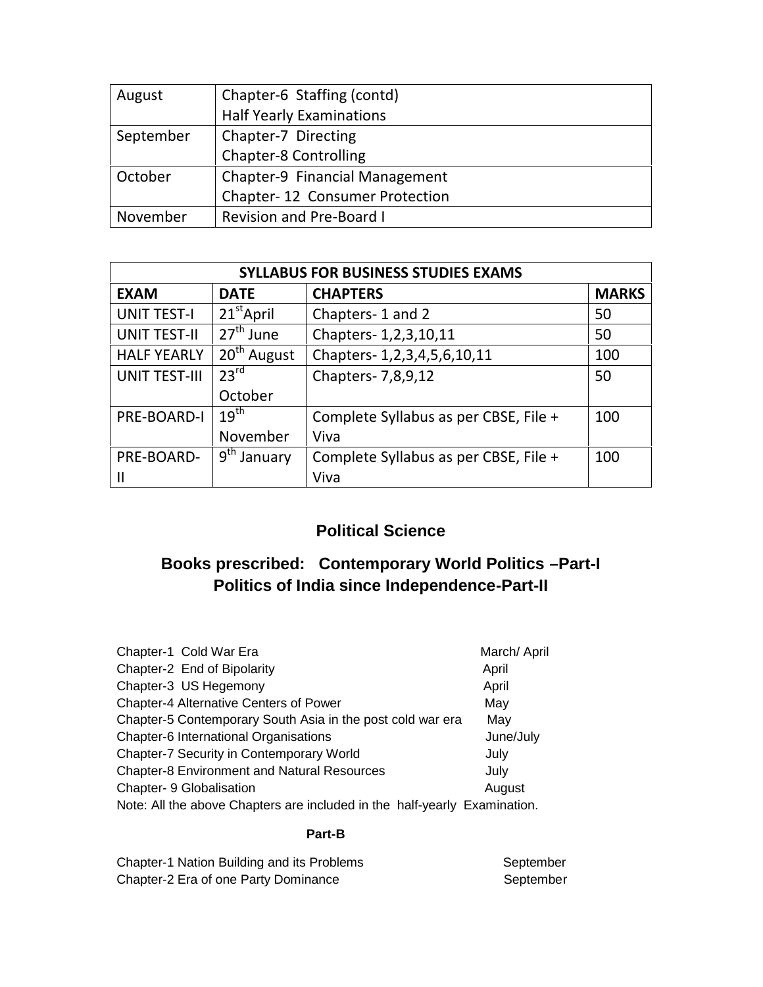| August    | Chapter-6 Staffing (contd)      |  |
|-----------|---------------------------------|--|
|           | <b>Half Yearly Examinations</b> |  |
| September | Chapter-7 Directing             |  |
|           | <b>Chapter-8 Controlling</b>    |  |
| October   | Chapter-9 Financial Management  |  |
|           | Chapter-12 Consumer Protection  |  |
| November  | <b>Revision and Pre-Board I</b> |  |

| <b>SYLLABUS FOR BUSINESS STUDIES EXAMS</b> |                            |                                       |              |
|--------------------------------------------|----------------------------|---------------------------------------|--------------|
| <b>EXAM</b>                                | <b>DATE</b>                | <b>CHAPTERS</b>                       | <b>MARKS</b> |
| <b>UNIT TEST-I</b>                         | $21^{\text{st}}$ April     | Chapters-1 and 2                      | 50           |
| <b>UNIT TEST-II</b>                        | 27 <sup>th</sup> June      | Chapters- 1,2,3,10,11                 | 50           |
| <b>HALF YEARLY</b>                         | $20th$ August              | Chapters-1,2,3,4,5,6,10,11            | 100          |
| <b>UNIT TEST-III</b>                       | 23 <sup>rd</sup>           | Chapters- 7,8,9,12                    | 50           |
|                                            | October                    |                                       |              |
| PRE-BOARD-I                                | $19^{\text{th}}$           | Complete Syllabus as per CBSE, File + | 100          |
|                                            | November                   | Viva                                  |              |
| PRE-BOARD-                                 | $9^{\text{th}}$<br>January | Complete Syllabus as per CBSE, File + | 100          |
|                                            |                            | Viva                                  |              |

### **Political Science**

## **Books prescribed: Contemporary World Politics –Part-I Politics of India since Independence-Part-II**

| Chapter-1 Cold War Era                                                    | March/ April |
|---------------------------------------------------------------------------|--------------|
| Chapter-2 End of Bipolarity                                               | April        |
| Chapter-3 US Hegemony                                                     | April        |
| <b>Chapter-4 Alternative Centers of Power</b>                             | May          |
| Chapter-5 Contemporary South Asia in the post cold war era                | May          |
| Chapter-6 International Organisations                                     | June/July    |
| Chapter-7 Security in Contemporary World                                  | July         |
| <b>Chapter-8 Environment and Natural Resources</b>                        | July         |
| Chapter- 9 Globalisation                                                  | August       |
| Note: All the above Chapters are included in the half-yearly Examination. |              |

#### **Part-B**

| Chapter-1 Nation Building and its Problems | September |
|--------------------------------------------|-----------|
| Chapter-2 Era of one Party Dominance       | September |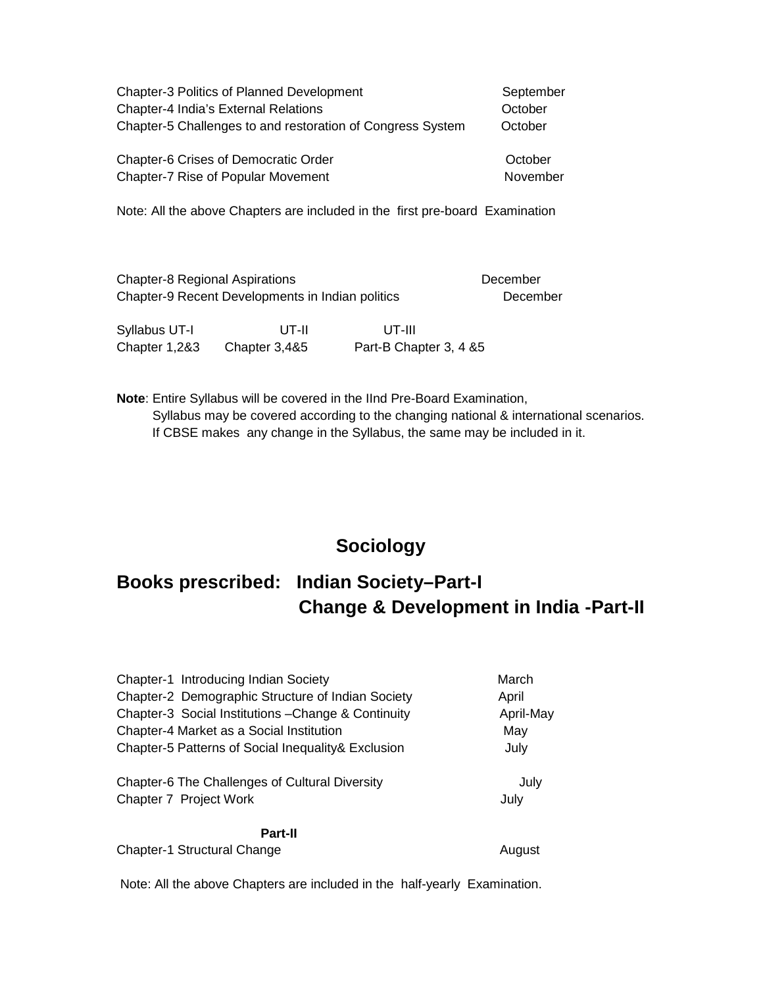| <b>Chapter-3 Politics of Planned Development</b>           | September |
|------------------------------------------------------------|-----------|
| <b>Chapter-4 India's External Relations</b>                | October   |
| Chapter-5 Challenges to and restoration of Congress System | October   |
| <b>Chapter-6 Crises of Democratic Order</b>                | October   |
| Chapter-7 Rise of Popular Movement                         | November  |

Note: All the above Chapters are included in the first pre-board Examination

| <b>Chapter-8 Regional Aspirations</b>            | December |
|--------------------------------------------------|----------|
| Chapter-9 Recent Developments in Indian politics | December |

| Syllabus UT-I | UT-II         | UT-III                  |  |
|---------------|---------------|-------------------------|--|
| Chapter 1,2&3 | Chapter 3,4&5 | Part-B Chapter 3, 4 & 5 |  |

**Note**: Entire Syllabus will be covered in the IInd Pre-Board Examination, Syllabus may be covered according to the changing national & international scenarios. If CBSE makes any change in the Syllabus, the same may be included in it.

### **Sociology**

# **Books prescribed: Indian Society–Part-I Change & Development in India -Part-II**

| Chapter-1 Introducing Indian Society                | March     |
|-----------------------------------------------------|-----------|
| Chapter-2 Demographic Structure of Indian Society   | April     |
| Chapter-3 Social Institutions - Change & Continuity | April-May |
| Chapter-4 Market as a Social Institution            | May       |
| Chapter-5 Patterns of Social Inequality & Exclusion | July      |
| Chapter-6 The Challenges of Cultural Diversity      | July      |
| Chapter 7 Project Work                              | July      |
|                                                     |           |

**Part-II**

Chapter-1 Structural Change August 2012

Note: All the above Chapters are included in the half-yearly Examination.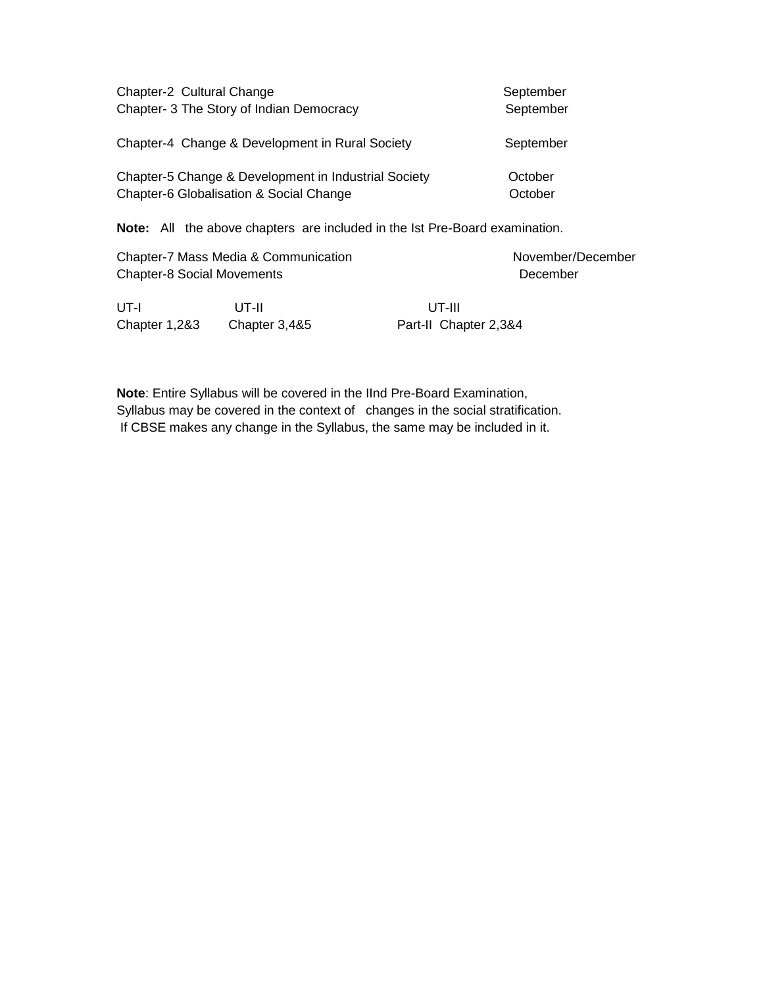| Chapter-2 Cultural Change                            | September |
|------------------------------------------------------|-----------|
| Chapter- 3 The Story of Indian Democracy             | September |
| Chapter-4 Change & Development in Rural Society      | September |
| Chapter-5 Change & Development in Industrial Society | October   |
| Chapter-6 Globalisation & Social Change              | October   |

**Note:** All the above chapters are included in the Ist Pre-Board examination.

| Chapter-7 Mass Media & Communication<br><b>Chapter-8 Social Movements</b> |       |          | November/December |
|---------------------------------------------------------------------------|-------|----------|-------------------|
|                                                                           |       | December |                   |
| UT-I                                                                      | UT-II | UT-III   |                   |

Chapter 1,2&3 Chapter 3,4&5 Part-II Chapter 2,3&4

**Note**: Entire Syllabus will be covered in the IInd Pre-Board Examination, Syllabus may be covered in the context of changes in the social stratification. If CBSE makes any change in the Syllabus, the same may be included in it.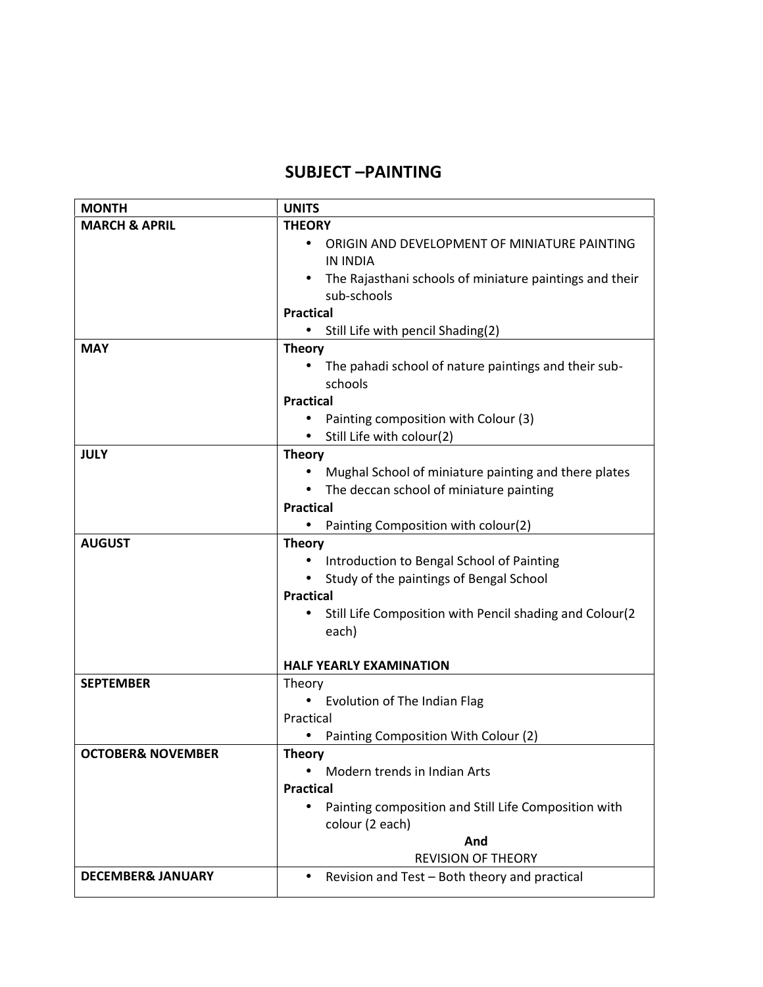### **SUBJECT –PAINTING**

| <b>MONTH</b>                              | <b>UNITS</b>                                                         |  |  |
|-------------------------------------------|----------------------------------------------------------------------|--|--|
| <b>MARCH &amp; APRIL</b><br><b>THEORY</b> |                                                                      |  |  |
|                                           | ORIGIN AND DEVELOPMENT OF MINIATURE PAINTING<br>$\bullet$            |  |  |
|                                           | IN INDIA                                                             |  |  |
|                                           | The Rajasthani schools of miniature paintings and their              |  |  |
|                                           | sub-schools                                                          |  |  |
|                                           | <b>Practical</b>                                                     |  |  |
|                                           | Still Life with pencil Shading(2)<br>$\bullet$                       |  |  |
| <b>MAY</b>                                | <b>Theory</b>                                                        |  |  |
|                                           | The pahadi school of nature paintings and their sub-<br>schools      |  |  |
|                                           | <b>Practical</b>                                                     |  |  |
|                                           | Painting composition with Colour (3)                                 |  |  |
|                                           | Still Life with colour(2)<br>$\bullet$                               |  |  |
| <b>JULY</b>                               | <b>Theory</b>                                                        |  |  |
|                                           | Mughal School of miniature painting and there plates                 |  |  |
|                                           | The deccan school of miniature painting                              |  |  |
|                                           | <b>Practical</b>                                                     |  |  |
|                                           | Painting Composition with colour(2)<br>$\bullet$                     |  |  |
| <b>AUGUST</b>                             | <b>Theory</b>                                                        |  |  |
|                                           | Introduction to Bengal School of Painting                            |  |  |
|                                           | Study of the paintings of Bengal School<br>$\bullet$                 |  |  |
|                                           | <b>Practical</b>                                                     |  |  |
|                                           | Still Life Composition with Pencil shading and Colour(2<br>$\bullet$ |  |  |
|                                           | each)                                                                |  |  |
|                                           |                                                                      |  |  |
|                                           | <b>HALF YEARLY EXAMINATION</b>                                       |  |  |
| <b>SEPTEMBER</b>                          | Theory                                                               |  |  |
|                                           | Evolution of The Indian Flag                                         |  |  |
|                                           | Practical                                                            |  |  |
|                                           | Painting Composition With Colour (2)                                 |  |  |
| <b>OCTOBER&amp; NOVEMBER</b>              | <b>Theory</b>                                                        |  |  |
|                                           | Modern trends in Indian Arts                                         |  |  |
|                                           | <b>Practical</b>                                                     |  |  |
|                                           | Painting composition and Still Life Composition with                 |  |  |
|                                           | colour (2 each)                                                      |  |  |
|                                           | And<br><b>REVISION OF THEORY</b>                                     |  |  |
|                                           |                                                                      |  |  |
| <b>DECEMBER&amp; JANUARY</b>              | Revision and Test - Both theory and practical<br>$\bullet$           |  |  |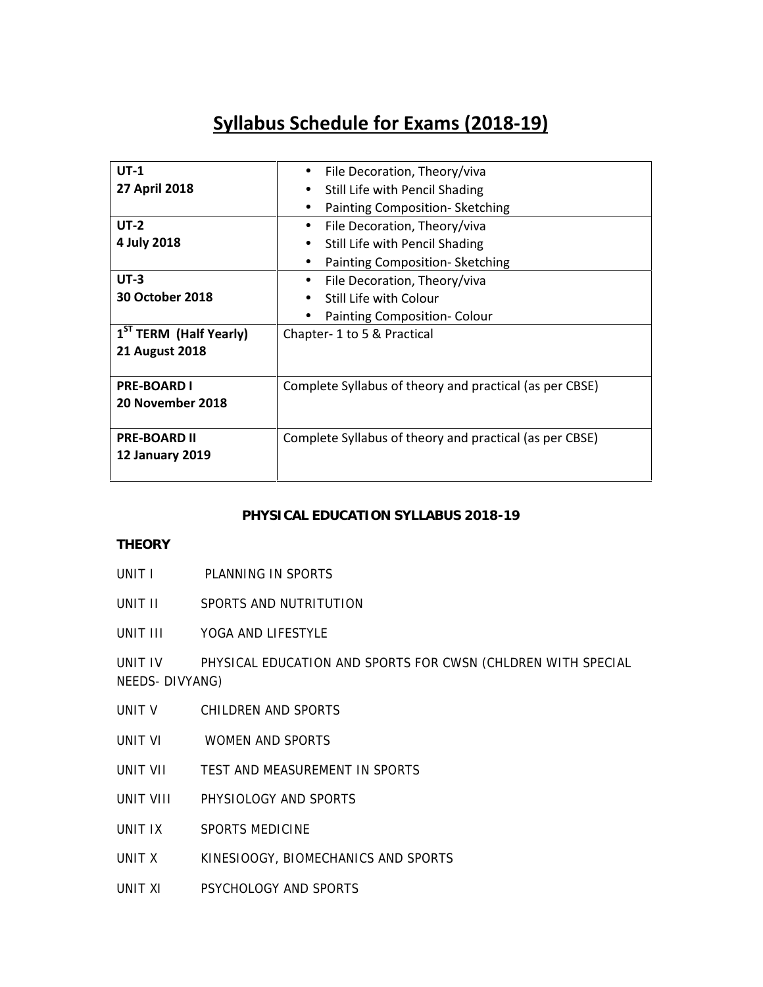# **Syllabus Schedule for Exams (2018-19)**

| $UT-1$                             | File Decoration, Theory/viva<br>$\bullet$               |  |
|------------------------------------|---------------------------------------------------------|--|
| 27 April 2018                      | Still Life with Pencil Shading<br>$\bullet$             |  |
|                                    | Painting Composition-Sketching                          |  |
| $UT-2$                             | File Decoration, Theory/viva<br>$\bullet$               |  |
| 4 July 2018                        | Still Life with Pencil Shading<br>$\bullet$             |  |
|                                    | Painting Composition-Sketching<br>٠                     |  |
| $UT-3$                             | File Decoration, Theory/viva<br>$\bullet$               |  |
| 30 October 2018                    | Still Life with Colour<br>$\bullet$                     |  |
|                                    | Painting Composition- Colour<br>$\bullet$               |  |
| 1 <sup>ST</sup> TERM (Half Yearly) | Chapter-1 to 5 & Practical                              |  |
| <b>21 August 2018</b>              |                                                         |  |
|                                    |                                                         |  |
| <b>PRE-BOARD I</b>                 | Complete Syllabus of theory and practical (as per CBSE) |  |
| 20 November 2018                   |                                                         |  |
|                                    |                                                         |  |
| <b>PRE-BOARD II</b>                | Complete Syllabus of theory and practical (as per CBSE) |  |
| <b>12 January 2019</b>             |                                                         |  |
|                                    |                                                         |  |

#### **PHYSICAL EDUCATION SYLLABUS 2018-19**

#### **THEORY**

- UNIT I PLANNING IN SPORTS
- UNIT II SPORTS AND NUTRITUTION
- UNIT III YOGA AND LIFESTYLE

UNIT IV PHYSICAL EDUCATION AND SPORTS FOR CWSN (CHLDREN WITH SPECIAL NEEDS- DIVYANG)

- UNIT V CHILDREN AND SPORTS
- UNIT VI WOMEN AND SPORTS
- UNIT VII TEST AND MEASUREMENT IN SPORTS
- UNIT VIII PHYSIOLOGY AND SPORTS
- UNIT IX SPORTS MEDICINE
- UNIT X KINESIOOGY, BIOMECHANICS AND SPORTS
- UNIT XI PSYCHOLOGY AND SPORTS